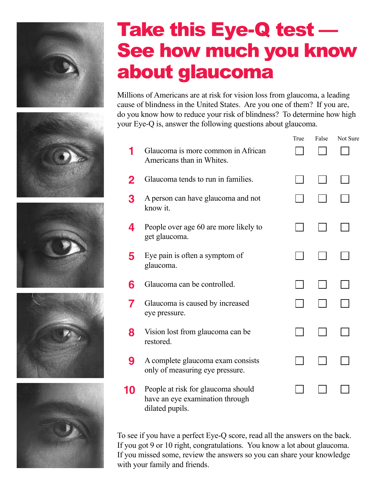

## Take this Eye-Q test — See how much you know about glaucoma

Millions of Americans are at risk for vision loss from glaucoma, a leading cause of blindness in the United States. Are you one of them? If you are, do you know how to reduce your risk of blindness? To determine how high your Eye-Q is, answer the following questions about glaucoma.

|    |                                                                                          | True | False | Not Sure |
|----|------------------------------------------------------------------------------------------|------|-------|----------|
|    | Glaucoma is more common in African<br>Americans than in Whites.                          |      |       |          |
| 2  | Glaucoma tends to run in families.                                                       |      |       |          |
| 3  | A person can have glaucoma and not<br>know it.                                           |      |       |          |
| 4  | People over age 60 are more likely to<br>get glaucoma.                                   |      |       |          |
| 5  | Eye pain is often a symptom of<br>glaucoma.                                              |      |       |          |
| 6  | Glaucoma can be controlled.                                                              |      |       |          |
| 7  | Glaucoma is caused by increased<br>eye pressure.                                         |      |       |          |
| 8  | Vision lost from glaucoma can be<br>restored.                                            |      |       |          |
| 9  | A complete glaucoma exam consists<br>only of measuring eye pressure.                     |      |       |          |
| 10 | People at risk for glaucoma should<br>have an eye examination through<br>dilated pupils. |      |       |          |

To see if you have a perfect Eye-Q score, read all the answers on the back. If you got 9 or 10 right, congratulations. You know a lot about glaucoma. If you missed some, review the answers so you can share your knowledge with your family and friends.